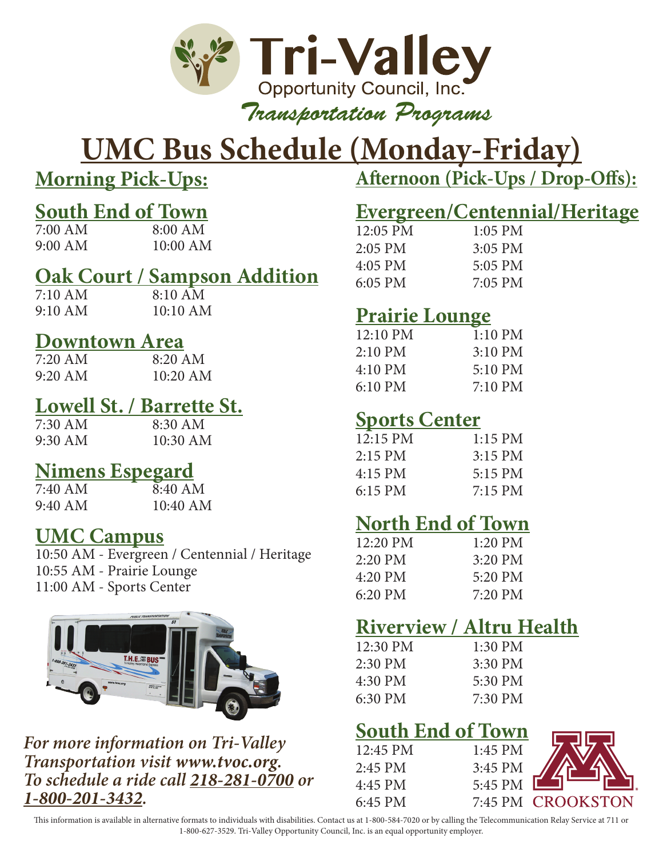

# **UMC Bus Schedule (Monday-Friday)**

**Morning Pick-Ups:**

# **South End of Town**<br>7.00 AM<br>8.00 AM

7:00 AM 8:00 AM<br>9:00 AM 10:00 AM 9:00 AM 10:00 AM

## **<u>Oak Court / Sampson Addition</u>**<br>7:10 AM<br>8:10 AM

 $7:10 \text{ AM}$ 9:10 AM 10:10 AM

### **Downtown Area**

| 7:20 AM | $8:20$ AM  |
|---------|------------|
| 9:20 AM | $10:20$ AM |

## **Lowell St. / Barrette St.**

 $8:30$  AM 9:30 AM 10:30 AM

## **Nimens Espegard**<br>7:40 AM<br>8:40 Al

 $8:40$  AM 9:40 AM 10:40 AM

### **UMC Campus**

10:50 AM - Evergreen / Centennial / Heritage 10:55 AM - Prairie Lounge 11:00 AM - Sports Center



*For more information on Tri-Valley Transportation visit www.tvoc.org. To schedule a ride call 218-281-0700 or 1-800-201-3432.*

**Afternoon (Pick-Ups / Drop-Offs):**

## **Evergreen/Centennial/Heritage**

| $12:05$ PM | $1:05$ PM |
|------------|-----------|
| $2:05$ PM  | $3:05$ PM |
| $4:05$ PM  | 5:05 PM   |
| $6:05$ PM  | 7:05 PM   |

### **Prairie Lounge**

| 12:10 PM          | $1:10$ PM         |
|-------------------|-------------------|
| $2:10$ PM         | $3:10$ PM         |
| $4:10$ PM         | $5:10 \text{ PM}$ |
| $6:10 \text{ PM}$ | $7:10 \text{ PM}$ |

## **Sports Center**

| $12:15$ PM        | $1:15$ PM |
|-------------------|-----------|
| $2:15$ PM         | $3:15$ PM |
| $4:15$ PM         | 5:15 PM   |
| $6:15 \text{ PM}$ | $7:15$ PM |
|                   |           |

### **North End of Town**

| $12:20$ PM        | $1:20$ PM |
|-------------------|-----------|
| $2:20$ PM         | $3:20$ PM |
| 4:20 PM           | 5:20 PM   |
| $6:20 \text{ PM}$ | 7:20 PM   |

## **Riverview / Altru Health**

| $1:30 \text{ PM}$ |
|-------------------|
| 3:30 PM           |
| 5:30 PM           |
| 7:30 PM           |
|                   |

### **South End of Town**

| $12:45$ PM | 1:45 PM |                   |
|------------|---------|-------------------|
| $2:45$ PM  | 3:45 PM |                   |
| 4:45 PM    | 5:45 PM |                   |
| 6:45 PM    |         | 7:45 PM CROOKSTON |

This information is available in alternative formats to individuals with disabilities. Contact us at 1-800-584-7020 or by calling the Telecommunication Relay Service at 711 or 1-800-627-3529. Tri-Valley Opportunity Council, Inc. is an equal opportunity employer.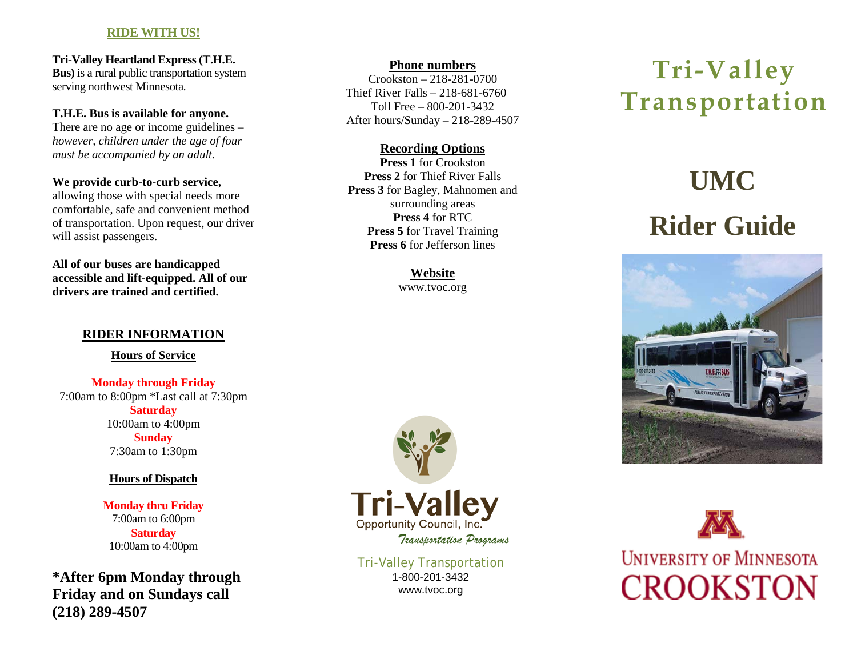### **RIDE WITH US!**

**Tri-Valley Heartland Express (T.H.E. Bus)** is a rural public transportation system serving northwest Minnesota.

### **T.H.E. Bus is available for anyone.**

There are no age or income guidelines – *however, children under the age of four must be accompanied by an adult.*

#### **We provide curb-to-curb service,**

allowing those with special needs more comfortable, safe and convenient method of transportation. Upon request, our driver will assist passengers.

**All of our buses are handicapped accessible and lift-equipped. All of our drivers are trained and certified.** 

### **RIDER INFORMATION**

**Hours of Service**

**Monday through Friday** 7:00am to 8:00pm \*Last call at 7:30pm **Saturday** 10:00am to 4:00pm **Sunday** 7:30am to 1:30pm

### **Hours of Dispatch**

**Monday thru Friday** 7:00am to 6:00pm **Saturday** 10:00am to 4:00pm

**\*After 6pm Monday through Friday and on Sundays call (218) 289-4507**

### **Phone numbers**

Crookston – 218-281-0700 Thief River Falls – 218-681-6760 Toll Free – 800-201-3432 After hours/Sunday – 218-289-4507

### **Recording Options**

**Press 1** for Crookston **Press 2** for Thief River Falls **Press 3** for Bagley, Mahnomen and surrounding areas **Press 4** for RTC **Press 5** for Travel Training **Press 6** for Jefferson lines

> **Website** www.tvoc.org



Tri-Valley Transportation 1-800-201-3432 www.tvoc.org

## **Tri-Valley Transportation**

# **UMC Rider Guide**





**UNIVERSITY OF MINNESOTA CROOKSTON**